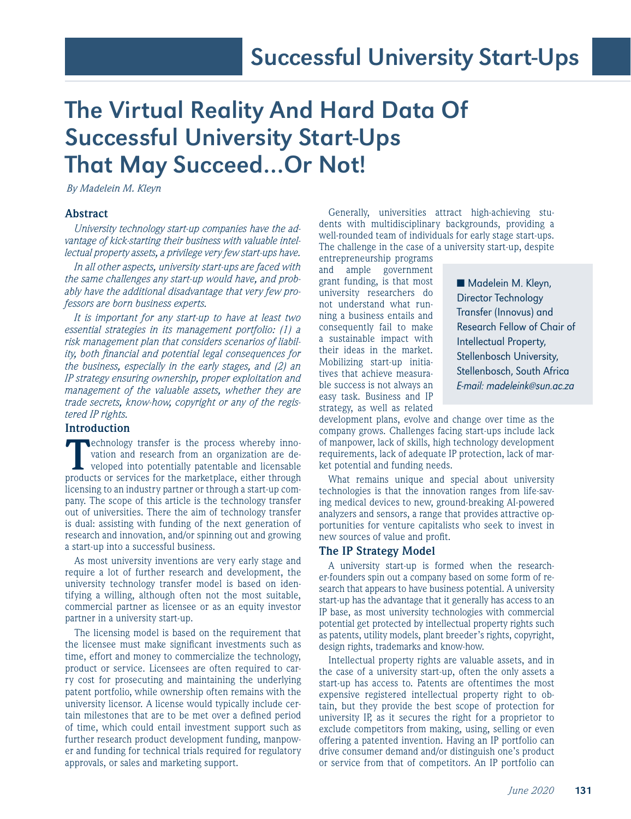# The Virtual Reality And Hard Data Of Successful University Start-Ups That May Succeed…Or Not!

*By Madelein M. Kleyn*

# **Abstract**

*University technology start-up companies have the advantage of kick-starting their business with valuable intellectual property assets, a privilege very few start-ups have.* 

*In all other aspects, university start-ups are faced with the same challenges any start-up would have, and probably have the additional disadvantage that very few professors are born business experts.*

*It is important for any start-up to have at least two essential strategies in its management portfolio: (1) a risk management plan that considers scenarios of liability, both financial and potential legal consequences for the business, especially in the early stages, and (2) an IP strategy ensuring ownership, proper exploitation and management of the valuable assets, whether they are trade secrets, know-how, copyright or any of the registered IP rights.* 

## **Introduction**

**Technology transfer is the process whereby inno**vation and research from an organization are developed into potentially patentable and licensable products or services for the marketplace, either through licensing to an industry partner or through a start-up company. The scope of this article is the technology transfer out of universities. There the aim of technology transfer is dual: assisting with funding of the next generation of research and innovation, and/or spinning out and growing a start-up into a successful business.

As most university inventions are very early stage and require a lot of further research and development, the university technology transfer model is based on identifying a willing, although often not the most suitable, commercial partner as licensee or as an equity investor partner in a university start-up.

The licensing model is based on the requirement that the licensee must make significant investments such as time, effort and money to commercialize the technology, product or service. Licensees are often required to carry cost for prosecuting and maintaining the underlying patent portfolio, while ownership often remains with the university licensor. A license would typically include certain milestones that are to be met over a defined period of time, which could entail investment support such as further research product development funding, manpower and funding for technical trials required for regulatory approvals, or sales and marketing support.

Generally, universities attract high-achieving students with multidisciplinary backgrounds, providing a well-rounded team of individuals for early stage start-ups. The challenge in the case of a university start-up, despite

entrepreneurship programs and ample government grant funding, is that most university researchers do not understand what running a business entails and consequently fail to make a sustainable impact with their ideas in the market. Mobilizing start-up initiatives that achieve measurable success is not always an easy task. Business and IP strategy, as well as related

■ Madelein M. Kleyn, Director Technology Transfer (Innovus) and Research Fellow of Chair of Intellectual Property, Stellenbosch University, Stellenbosch, South Africa E-mail: madeleink@sun.ac.za

development plans, evolve and change over time as the company grows. Challenges facing start-ups include lack of manpower, lack of skills, high technology development requirements, lack of adequate IP protection, lack of market potential and funding needs.

What remains unique and special about university technologies is that the innovation ranges from life-saving medical devices to new, ground-breaking AI-powered analyzers and sensors, a range that provides attractive opportunities for venture capitalists who seek to invest in new sources of value and profit.

## **The IP Strategy Model**

A university start-up is formed when the researcher-founders spin out a company based on some form of research that appears to have business potential. A university start-up has the advantage that it generally has access to an IP base, as most university technologies with commercial potential get protected by intellectual property rights such as patents, utility models, plant breeder's rights, copyright, design rights, trademarks and know-how.

Intellectual property rights are valuable assets, and in the case of a university start-up, often the only assets a start-up has access to. Patents are oftentimes the most expensive registered intellectual property right to obtain, but they provide the best scope of protection for university IP, as it secures the right for a proprietor to exclude competitors from making, using, selling or even offering a patented invention. Having an IP portfolio can drive consumer demand and/or distinguish one's product or service from that of competitors. An IP portfolio can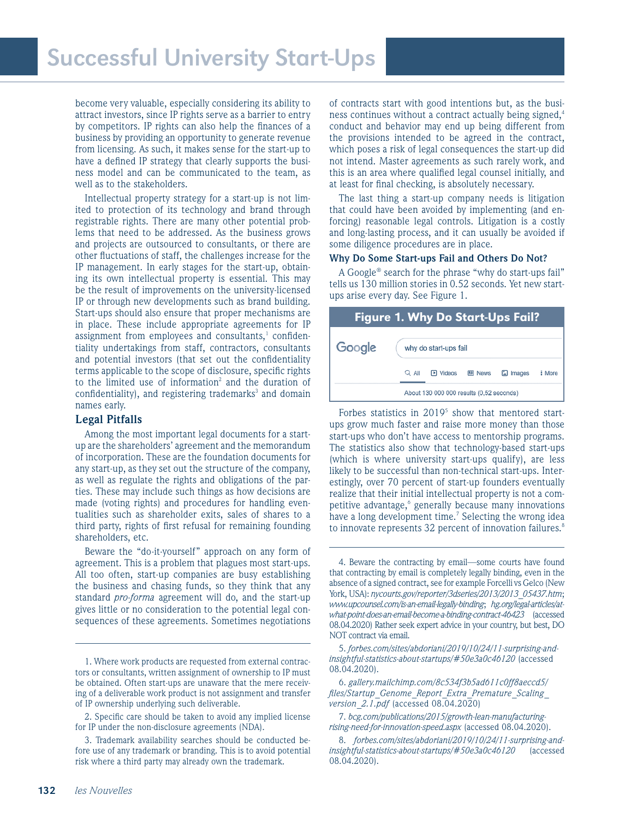become very valuable, especially considering its ability to attract investors, since IP rights serve as a barrier to entry by competitors. IP rights can also help the finances of a business by providing an opportunity to generate revenue from licensing. As such, it makes sense for the start-up to have a defined IP strategy that clearly supports the business model and can be communicated to the team, as well as to the stakeholders.

Intellectual property strategy for a start-up is not limited to protection of its technology and brand through registrable rights. There are many other potential problems that need to be addressed. As the business grows and projects are outsourced to consultants, or there are other fluctuations of staff, the challenges increase for the IP management. In early stages for the start-up, obtaining its own intellectual property is essential. This may be the result of improvements on the university-licensed IP or through new developments such as brand building. Start-ups should also ensure that proper mechanisms are in place. These include appropriate agreements for IP assignment from employees and consultants, $1$  confidentiality undertakings from staff, contractors, consultants and potential investors (that set out the confidentiality terms applicable to the scope of disclosure, specific rights to the limited use of information<sup>2</sup> and the duration of confidentiality), and registering trademarks<sup>3</sup> and domain names early.

# **Legal Pitfalls**

Among the most important legal documents for a startup are the shareholders' agreement and the memorandum of incorporation. These are the foundation documents for any start-up, as they set out the structure of the company, as well as regulate the rights and obligations of the parties. These may include such things as how decisions are made (voting rights) and procedures for handling eventualities such as shareholder exits, sales of shares to a third party, rights of first refusal for remaining founding shareholders, etc.

Beware the "do-it-yourself" approach on any form of agreement. This is a problem that plagues most start-ups. All too often, start-up companies are busy establishing the business and chasing funds, so they think that any standard *pro-forma* agreement will do, and the start-up gives little or no consideration to the potential legal consequences of these agreements. Sometimes negotiations

of contracts start with good intentions but, as the business continues without a contract actually being signed,<sup>4</sup> conduct and behavior may end up being different from the provisions intended to be agreed in the contract, which poses a risk of legal consequences the start-up did not intend. Master agreements as such rarely work, and this is an area where qualified legal counsel initially, and at least for final checking, is absolutely necessary.

The last thing a start-up company needs is litigation that could have been avoided by implementing (and enforcing) reasonable legal controls. Litigation is a costly and long-lasting process, and it can usually be avoided if some diligence procedures are in place.

### **Why Do Some Start-ups Fail and Others Do Not?**

A Google® search for the phrase "why do start-ups fail" tells us 130 million stories in 0.52 seconds. Yet new startups arise every day. See Figure 1.

| <b>Figure 1. Why Do Start-Ups Fail?</b> |                                          |                       |               |               |        |  |
|-----------------------------------------|------------------------------------------|-----------------------|---------------|---------------|--------|--|
| Google                                  |                                          | why do start-ups fail |               |               |        |  |
|                                         | $Q$ All                                  | <b>FI</b> Videos      | <b>国 News</b> | $\Box$ Images | : More |  |
|                                         | About 130 000 000 results (0,52 seconds) |                       |               |               |        |  |

Forbes statistics in  $2019<sup>5</sup>$  show that mentored startups grow much faster and raise more money than those start-ups who don't have access to mentorship programs. The statistics also show that technology-based start-ups (which is where university start-ups qualify), are less likely to be successful than non-technical start-ups. Interestingly, over 70 percent of start-up founders eventually realize that their initial intellectual property is not a competitive advantage,<sup>6</sup> generally because many innovations have a long development time.<sup>7</sup> Selecting the wrong idea to innovate represents 32 percent of innovation failures.<sup>8</sup>

<sup>1.</sup> Where work products are requested from external contractors or consultants, written assignment of ownership to IP must be obtained. Often start-ups are unaware that the mere receiving of a deliverable work product is not assignment and transfer of IP ownership underlying such deliverable.

<sup>2.</sup> Specific care should be taken to avoid any implied license for IP under the non-disclosure agreements (NDA).

<sup>3.</sup> Trademark availability searches should be conducted before use of any trademark or branding. This is to avoid potential risk where a third party may already own the trademark.

<sup>4.</sup> Beware the contracting by email—some courts have found that contracting by email is completely legally binding, even in the absence of a signed contract, see for example Forcelli vs Gelco (New York, USA): *nycourts.gov/reporter/3dseries/2013/2013\_05437.htm*; *www.upcounsel.com/is-an-email-legally-binding*; *hg.org/legal-articles/atwhat-point-does-an-email-become-a-binding-contract-46423* (accessed 08.04.2020) Rather seek expert advice in your country, but best, DO NOT contract via email.

<sup>5.</sup> *forbes.com/sites/abdoriani/2019/10/24/11-surprising-andinsightful-statistics-about-startups/#50e3a0c46120* (accessed 08.04.2020).

<sup>6.</sup> *gallery.mailchimp.com/8c534f3b5ad611c0ff8aeccd5/ files/Startup\_Genome\_Report\_Extra\_Premature\_Scaling\_ version\_2.1.pdf* (accessed 08.04.2020)

<sup>7.</sup> *bcg.com/publications/2015/growth-lean-manufacturingrising-need-for-innovation-speed.aspx* (accessed 08.04.2020).

<sup>8.</sup> *forbes.com/sites/abdoriani/2019/10/24/11-surprising-andinsightful-statistics-about-startups/#50e3a0c46120* (accessed 08.04.2020).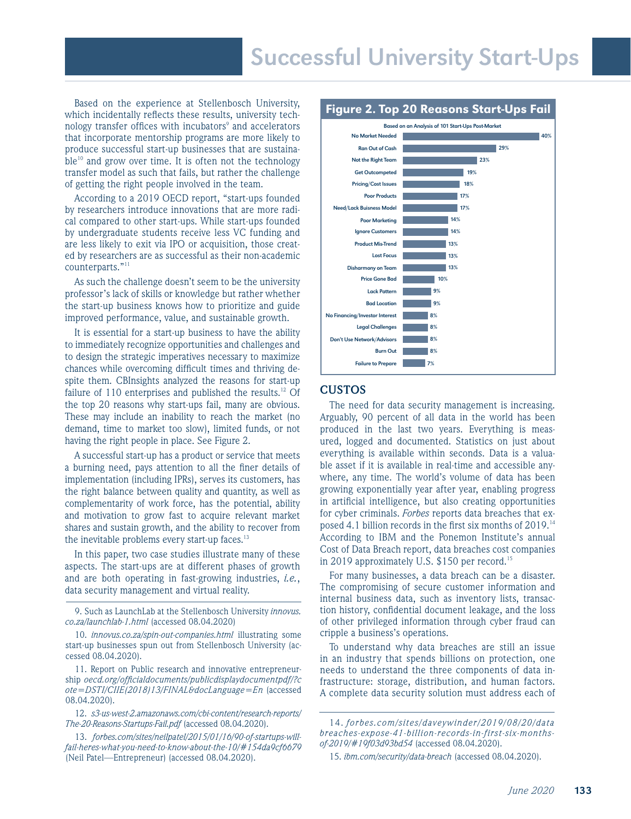Based on the experience at Stellenbosch University, which incidentally reflects these results, university technology transfer offices with incubators<sup>9</sup> and accelerators that incorporate mentorship programs are more likely to produce successful start-up businesses that are sustaina $ble^{10}$  and grow over time. It is often not the technology transfer model as such that fails, but rather the challenge of getting the right people involved in the team.

According to a 2019 OECD report, "start-ups founded by researchers introduce innovations that are more radical compared to other start-ups. While start-ups founded by undergraduate students receive less VC funding and are less likely to exit via IPO or acquisition, those created by researchers are as successful as their non-academic counterparts."<sup>11</sup>

As such the challenge doesn't seem to be the university professor's lack of skills or knowledge but rather whether the start-up business knows how to prioritize and guide improved performance, value, and sustainable growth.

It is essential for a start-up business to have the ability to immediately recognize opportunities and challenges and to design the strategic imperatives necessary to maximize chances while overcoming difficult times and thriving despite them. CBInsights analyzed the reasons for start-up failure of 110 enterprises and published the results.<sup>12</sup> Of the top 20 reasons why start-ups fail, many are obvious. These may include an inability to reach the market (no demand, time to market too slow), limited funds, or not having the right people in place. See Figure 2.

A successful start-up has a product or service that meets a burning need, pays attention to all the finer details of implementation (including IPRs), serves its customers, has the right balance between quality and quantity, as well as complementarity of work force, has the potential, ability and motivation to grow fast to acquire relevant market shares and sustain growth, and the ability to recover from the inevitable problems every start-up faces.<sup>13</sup>

In this paper, two case studies illustrate many of these aspects. The start-ups are at different phases of growth and are both operating in fast-growing industries, *i.e.*, data security management and virtual reality.

9. Such as LaunchLab at the Stellenbosch University *innovus. co.za/launchlab-1.html* (accessed 08.04.2020)

10. *innovus.co.za/spin-out-companies.html* illustrating some start-up businesses spun out from Stellenbosch University (accessed 08.04.2020).

11. Report on Public research and innovative entrepreneurship *oecd.org/officialdocuments/publicdisplaydocumentpdf/?c ote=DSTI/CIIE(2018)13/FINAL&docLanguage=En* (accessed 08.04.2020).

12. *s3-us-west-2.amazonaws.com/cbi-content/research-reports/ The-20-Reasons-Startups-Fail.pdf* (accessed 08.04.2020).

13. *forbes.com/sites/neilpatel/2015/01/16/90-of-startups-willfail-heres-what-you-need-to-know-about-the-10/#154da9cf6679*  (Neil Patel—Entrepreneur) (accessed 08.04.2020).



# **CUSTOS**

The need for data security management is increasing. Arguably, 90 percent of all data in the world has been produced in the last two years. Everything is measured, logged and documented. Statistics on just about everything is available within seconds. Data is a valuable asset if it is available in real-time and accessible anywhere, any time. The world's volume of data has been growing exponentially year after year, enabling progress in artificial intelligence, but also creating opportunities for cyber criminals. *Forbes* reports data breaches that exposed 4.1 billion records in the first six months of 2019.14 According to IBM and the Ponemon Institute's annual Cost of Data Breach report, data breaches cost companies in 2019 approximately U.S. \$150 per record.<sup>15</sup>

For many businesses, a data breach can be a disaster. The compromising of secure customer information and internal business data, such as inventory lists, transaction history, confidential document leakage, and the loss of other privileged information through cyber fraud can cripple a business's operations.

To understand why data breaches are still an issue in an industry that spends billions on protection, one needs to understand the three components of data infrastructure: storage, distribution, and human factors. A complete data security solution must address each of

<sup>14.</sup> *forbes.com/sites/daveywinder/2019/08/20/data breaches-expose-41-billion-records-in-first-six-monthsof-2019/#19f03d93bd54* (accessed 08.04.2020).

<sup>15.</sup> *ibm.com/security/data-breach* (accessed 08.04.2020).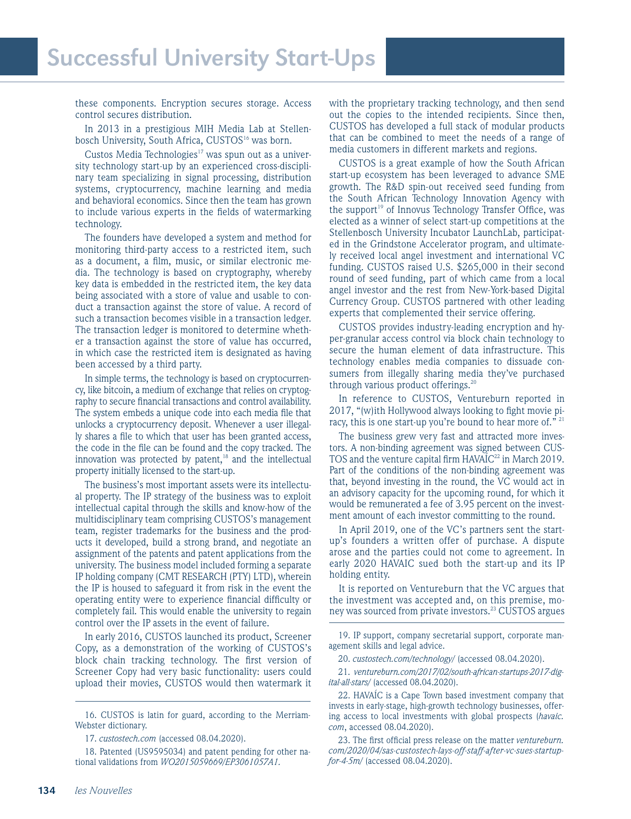these components. Encryption secures storage. Access control secures distribution.

In 2013 in a prestigious MIH Media Lab at Stellenbosch University, South Africa, CUSTOS<sup>16</sup> was born.

Custos Media Technologies $17$  was spun out as a university technology start-up by an experienced cross-disciplinary team specializing in signal processing, distribution systems, cryptocurrency, machine learning and media and behavioral economics. Since then the team has grown to include various experts in the fields of watermarking technology.

The founders have developed a system and method for monitoring third-party access to a restricted item, such as a document, a film, music, or similar electronic media. The technology is based on cryptography, whereby key data is embedded in the restricted item, the key data being associated with a store of value and usable to conduct a transaction against the store of value. A record of such a transaction becomes visible in a transaction ledger. The transaction ledger is monitored to determine whether a transaction against the store of value has occurred, in which case the restricted item is designated as having been accessed by a third party.

In simple terms, the technology is based on cryptocurrency, like bitcoin, a medium of exchange that relies on cryptography to secure financial transactions and control availability. The system embeds a unique code into each media file that unlocks a cryptocurrency deposit. Whenever a user illegally shares a file to which that user has been granted access, the code in the file can be found and the copy tracked. The innovation was protected by patent, $18$  and the intellectual property initially licensed to the start-up.

The business's most important assets were its intellectual property. The IP strategy of the business was to exploit intellectual capital through the skills and know-how of the multidisciplinary team comprising CUSTOS's management team, register trademarks for the business and the products it developed, build a strong brand, and negotiate an assignment of the patents and patent applications from the university. The business model included forming a separate IP holding company (CMT RESEARCH (PTY) LTD), wherein the IP is housed to safeguard it from risk in the event the operating entity were to experience financial difficulty or completely fail. This would enable the university to regain control over the IP assets in the event of failure.

In early 2016, CUSTOS launched its product, Screener Copy, as a demonstration of the working of CUSTOS's block chain tracking technology. The first version of Screener Copy had very basic functionality: users could upload their movies, CUSTOS would then watermark it with the proprietary tracking technology, and then send out the copies to the intended recipients. Since then, CUSTOS has developed a full stack of modular products that can be combined to meet the needs of a range of media customers in different markets and regions.

CUSTOS is a great example of how the South African start-up ecosystem has been leveraged to advance SME growth. The R&D spin-out received seed funding from the South African Technology Innovation Agency with the support<sup>19</sup> of Innovus Technology Transfer Office, was elected as a winner of select start-up competitions at the Stellenbosch University Incubator LaunchLab, participated in the Grindstone Accelerator program, and ultimately received local angel investment and international VC funding. CUSTOS raised U.S. \$265,000 in their second round of seed funding, part of which came from a local angel investor and the rest from New-York-based Digital Currency Group. CUSTOS partnered with other leading experts that complemented their service offering.

CUSTOS provides industry-leading encryption and hyper-granular access control via block chain technology to secure the human element of data infrastructure. This technology enables media companies to dissuade consumers from illegally sharing media they've purchased through various product offerings. $^{20}$ 

In reference to CUSTOS, Ventureburn reported in 2017, "(w)ith Hollywood always looking to fight movie piracy, this is one start-up you're bound to hear more of."<sup>21</sup>

The business grew very fast and attracted more investors. A non-binding agreement was signed between CUS-TOS and the venture capital firm  $HAVAÍC<sup>22</sup>$  in March 2019. Part of the conditions of the non-binding agreement was that, beyond investing in the round, the VC would act in an advisory capacity for the upcoming round, for which it would be remunerated a fee of 3.95 percent on the investment amount of each investor committing to the round.

In April 2019, one of the VC's partners sent the startup's founders a written offer of purchase. A dispute arose and the parties could not come to agreement. In early 2020 HAVAIC sued both the start-up and its IP holding entity.

It is reported on Ventureburn that the VC argues that the investment was accepted and, on this premise, money was sourced from private investors.<sup>23</sup> CUSTOS argues

19. IP support, company secretarial support, corporate management skills and legal advice.

20. *custostech.com/technology/* (accessed 08.04.2020).

21. *ventureburn.com/2017/02/south-african-startups-2017-digital-all-stars/* (accessed 08.04.2020).

22. HAVAÍC is a Cape Town based investment company that invests in early-stage, high-growth technology businesses, offering access to local investments with global prospects (*havaic. com*, accessed 08.04.2020).

23. The first official press release on the matter *ventureburn. com/2020/04/sas-custostech-lays-off-staff-after-vc-sues-startupfor-4-5m/* (accessed 08.04.2020).

<sup>16.</sup> CUSTOS is latin for guard, according to the Merriam-Webster dictionary.

<sup>17.</sup> *custostech.com* (accessed 08.04.2020).

<sup>18.</sup> Patented (US9595034) and patent pending for other national validations from *WO2015059669/EP3061057A1.*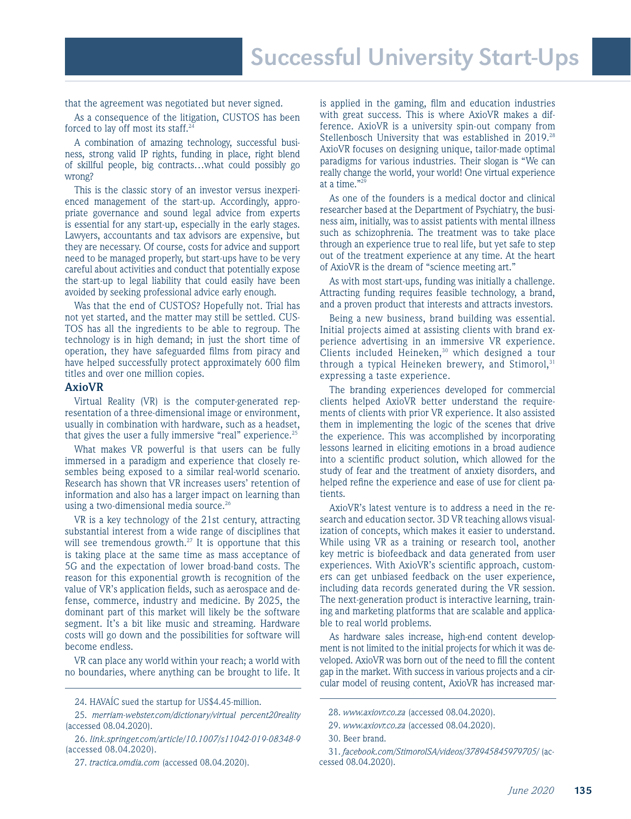that the agreement was negotiated but never signed.

As a consequence of the litigation, CUSTOS has been forced to lay off most its staff.<sup>24</sup>

A combination of amazing technology, successful business, strong valid IP rights, funding in place, right blend of skillful people, big contracts…what could possibly go wrong?

This is the classic story of an investor versus inexperienced management of the start-up. Accordingly, appropriate governance and sound legal advice from experts is essential for any start-up, especially in the early stages. Lawyers, accountants and tax advisors are expensive, but they are necessary. Of course, costs for advice and support need to be managed properly, but start-ups have to be very careful about activities and conduct that potentially expose the start-up to legal liability that could easily have been avoided by seeking professional advice early enough.

Was that the end of CUSTOS? Hopefully not. Trial has not yet started, and the matter may still be settled. CUS-TOS has all the ingredients to be able to regroup. The technology is in high demand; in just the short time of operation, they have safeguarded films from piracy and have helped successfully protect approximately 600 film titles and over one million copies.

#### **AxioVR**

Virtual Reality (VR) is the computer-generated representation of a three-dimensional image or environment, usually in combination with hardware, such as a headset, that gives the user a fully immersive "real" experience.<sup>25</sup>

What makes VR powerful is that users can be fully immersed in a paradigm and experience that closely resembles being exposed to a similar real-world scenario. Research has shown that VR increases users' retention of information and also has a larger impact on learning than using a two-dimensional media source.<sup>26</sup>

VR is a key technology of the 21st century, attracting substantial interest from a wide range of disciplines that will see tremendous growth. $27$  It is opportune that this is taking place at the same time as mass acceptance of 5G and the expectation of lower broad-band costs. The reason for this exponential growth is recognition of the value of VR's application fields, such as aerospace and defense, commerce, industry and medicine. By 2025, the dominant part of this market will likely be the software segment. It's a bit like music and streaming. Hardware costs will go down and the possibilities for software will become endless.

VR can place any world within your reach; a world with no boundaries, where anything can be brought to life. It is applied in the gaming, film and education industries with great success. This is where AxioVR makes a difference. AxioVR is a university spin-out company from Stellenbosch University that was established in 2019.<sup>28</sup> AxioVR focuses on designing unique, tailor-made optimal paradigms for various industries. Their slogan is "We can really change the world, your world! One virtual experience at a time."29

As one of the founders is a medical doctor and clinical researcher based at the Department of Psychiatry, the business aim, initially, was to assist patients with mental illness such as schizophrenia. The treatment was to take place through an experience true to real life, but yet safe to step out of the treatment experience at any time. At the heart of AxioVR is the dream of "science meeting art."

As with most start-ups, funding was initially a challenge. Attracting funding requires feasible technology, a brand, and a proven product that interests and attracts investors.

Being a new business, brand building was essential. Initial projects aimed at assisting clients with brand experience advertising in an immersive VR experience. Clients included Heineken,<sup>30</sup> which designed a tour through a typical Heineken brewery, and Stimorol,  $31$ expressing a taste experience.

The branding experiences developed for commercial clients helped AxioVR better understand the requirements of clients with prior VR experience. It also assisted them in implementing the logic of the scenes that drive the experience. This was accomplished by incorporating lessons learned in eliciting emotions in a broad audience into a scientific product solution, which allowed for the study of fear and the treatment of anxiety disorders, and helped refine the experience and ease of use for client patients.

AxioVR's latest venture is to address a need in the research and education sector. 3D VR teaching allows visualization of concepts, which makes it easier to understand. While using VR as a training or research tool, another key metric is biofeedback and data generated from user experiences. With AxioVR's scientific approach, customers can get unbiased feedback on the user experience, including data records generated during the VR session. The next-generation product is interactive learning, training and marketing platforms that are scalable and applicable to real world problems.

As hardware sales increase, high-end content development is not limited to the initial projects for which it was developed. AxioVR was born out of the need to fill the content gap in the market. With success in various projects and a circular model of reusing content, AxioVR has increased mar-

<sup>24.</sup> HAVAÍC sued the startup for US\$4.45-million.

<sup>25.</sup> *merriam-webster.com/dictionary/virtual percent20reality*  (accessed 08.04.2020).

<sup>26.</sup> *link.springer.com/article/10.1007/s11042-019-08348-9*  (accessed 08.04.2020).

<sup>27.</sup> *tractica.omdia.com* (accessed 08.04.2020).

<sup>28.</sup> *www.axiovr.co.za* (accessed 08.04.2020).

<sup>29.</sup> *www.axiovr.co.za* (accessed 08.04.2020).

<sup>30.</sup> Beer brand.

<sup>31.</sup> *facebook.com/StimorolSA/videos/378945845979705/* (accessed 08.04.2020).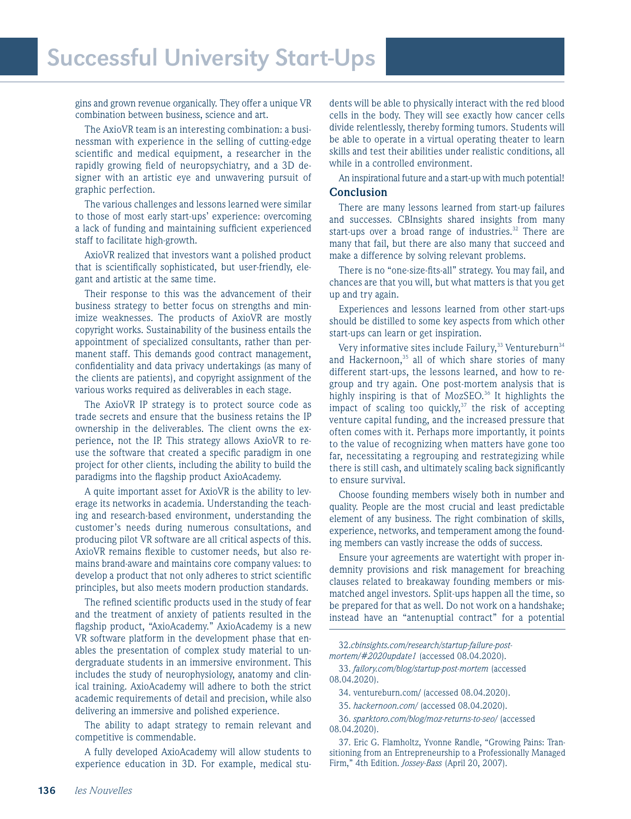gins and grown revenue organically. They offer a unique VR combination between business, science and art.

The AxioVR team is an interesting combination: a businessman with experience in the selling of cutting-edge scientific and medical equipment, a researcher in the rapidly growing field of neuropsychiatry, and a 3D designer with an artistic eye and unwavering pursuit of graphic perfection.

The various challenges and lessons learned were similar to those of most early start-ups' experience: overcoming a lack of funding and maintaining sufficient experienced staff to facilitate high-growth.

AxioVR realized that investors want a polished product that is scientifically sophisticated, but user-friendly, elegant and artistic at the same time.

Their response to this was the advancement of their business strategy to better focus on strengths and minimize weaknesses. The products of AxioVR are mostly copyright works. Sustainability of the business entails the appointment of specialized consultants, rather than permanent staff. This demands good contract management, confidentiality and data privacy undertakings (as many of the clients are patients), and copyright assignment of the various works required as deliverables in each stage.

The AxioVR IP strategy is to protect source code as trade secrets and ensure that the business retains the IP ownership in the deliverables. The client owns the experience, not the IP. This strategy allows AxioVR to reuse the software that created a specific paradigm in one project for other clients, including the ability to build the paradigms into the flagship product AxioAcademy.

A quite important asset for AxioVR is the ability to leverage its networks in academia. Understanding the teaching and research-based environment, understanding the customer's needs during numerous consultations, and producing pilot VR software are all critical aspects of this. AxioVR remains flexible to customer needs, but also remains brand-aware and maintains core company values: to develop a product that not only adheres to strict scientific principles, but also meets modern production standards.

The refined scientific products used in the study of fear and the treatment of anxiety of patients resulted in the flagship product, "AxioAcademy." AxioAcademy is a new VR software platform in the development phase that enables the presentation of complex study material to undergraduate students in an immersive environment. This includes the study of neurophysiology, anatomy and clinical training. AxioAcademy will adhere to both the strict academic requirements of detail and precision, while also delivering an immersive and polished experience.

The ability to adapt strategy to remain relevant and competitive is commendable.

A fully developed AxioAcademy will allow students to experience education in 3D. For example, medical stu-

dents will be able to physically interact with the red blood cells in the body. They will see exactly how cancer cells divide relentlessly, thereby forming tumors. Students will be able to operate in a virtual operating theater to learn skills and test their abilities under realistic conditions, all while in a controlled environment.

An inspirational future and a start-up with much potential! **Conclusion**

There are many lessons learned from start-up failures and successes. CBInsights shared insights from many start-ups over a broad range of industries.<sup>32</sup> There are many that fail, but there are also many that succeed and make a difference by solving relevant problems.

There is no "one-size-fits-all" strategy. You may fail, and chances are that you will, but what matters is that you get up and try again.

Experiences and lessons learned from other start-ups should be distilled to some key aspects from which other start-ups can learn or get inspiration.

Very informative sites include Failury,<sup>33</sup> Ventureburn<sup>34</sup> and Hackernoon,<sup>35</sup> all of which share stories of many different start-ups, the lessons learned, and how to regroup and try again. One post-mortem analysis that is highly inspiring is that of  $MozSEO<sup>36</sup>$  It highlights the impact of scaling too quickly, $37$  the risk of accepting venture capital funding, and the increased pressure that often comes with it. Perhaps more importantly, it points to the value of recognizing when matters have gone too far, necessitating a regrouping and restrategizing while there is still cash, and ultimately scaling back significantly to ensure survival.

Choose founding members wisely both in number and quality. People are the most crucial and least predictable element of any business. The right combination of skills, experience, networks, and temperament among the founding members can vastly increase the odds of success.

Ensure your agreements are watertight with proper indemnity provisions and risk management for breaching clauses related to breakaway founding members or mismatched angel investors. Split-ups happen all the time, so be prepared for that as well. Do not work on a handshake; instead have an "antenuptial contract" for a potential

32.*cbinsights.com/research/startup-failure-postmortem/#2020update1* (accessed 08.04.2020).

33. *failory.com/blog/startup-post-mortem* (accessed 08.04.2020).

34. ventureburn.com/ (accessed 08.04.2020).

35. *hackernoon.com/* (accessed 08.04.2020).

36. *sparktoro.com/blog/moz-returns-to-seo/* (accessed 08.04.2020).

37. Eric G. Flamholtz, Yvonne Randle, "Growing Pains: Transitioning from an Entrepreneurship to a Professionally Managed Firm," 4th Edition. *Jossey-Bass* (April 20, 2007).